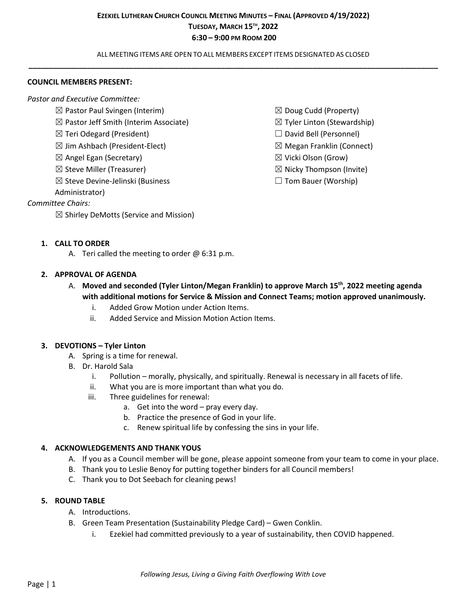ALL MEETING ITEMS ARE OPEN TO ALL MEMBERS EXCEPT ITEMS DESIGNATED AS CLOSED **\_\_\_\_\_\_\_\_\_\_\_\_\_\_\_\_\_\_\_\_\_\_\_\_\_\_\_\_\_\_\_\_\_\_\_\_\_\_\_\_\_\_\_\_\_\_\_\_\_\_\_\_\_\_\_\_\_\_\_\_\_\_\_\_\_\_\_\_\_\_\_\_\_\_\_\_\_\_\_\_\_\_\_\_\_\_\_\_\_\_\_\_\_\_\_\_\_\_**

#### **COUNCIL MEMBERS PRESENT:**

*Pastor and Executive Committee:*

- $\boxtimes$  Pastor Paul Svingen (Interim)
- $\boxtimes$  Pastor Jeff Smith (Interim Associate)
- ☒ Teri Odegard (President)
- $\boxtimes$  Jim Ashbach (President-Elect)
- $\boxtimes$  Angel Egan (Secretary)
- $\boxtimes$  Steve Miller (Treasurer)
- ☒ Steve Devine-Jelinski (Business

Administrator)

## *Committee Chairs:*

 $\boxtimes$  Shirley DeMotts (Service and Mission)

- $\boxtimes$  Doug Cudd (Property)
- $\boxtimes$  Tyler Linton (Stewardship)
- □ David Bell (Personnel)
- ☒ Megan Franklin (Connect)
- ☒ Vicki Olson (Grow)
- $\boxtimes$  Nicky Thompson (Invite)
- $\Box$  Tom Bauer (Worship)

### **1. CALL TO ORDER**

A. Teri called the meeting to order  $\omega$  6:31 p.m.

### **2. APPROVAL OF AGENDA**

- A. **Moved and seconded (Tyler Linton/Megan Franklin) to approve March 15th, 2022 meeting agenda with additional motions for Service & Mission and Connect Teams; motion approved unanimously.**
	- i. Added Grow Motion under Action Items.
	- ii. Added Service and Mission Motion Action Items.

### **3. DEVOTIONS – Tyler Linton**

- A. Spring is a time for renewal.
- B. Dr. Harold Sala
	- i. Pollution morally, physically, and spiritually. Renewal is necessary in all facets of life.
	- ii. What you are is more important than what you do.
	- iii. Three guidelines for renewal:
		- a. Get into the word pray every day.
		- b. Practice the presence of God in your life.
		- c. Renew spiritual life by confessing the sins in your life.

### **4. ACKNOWLEDGEMENTS AND THANK YOUS**

- A. If you as a Council member will be gone, please appoint someone from your team to come in your place.
- B. Thank you to Leslie Benoy for putting together binders for all Council members!
- C. Thank you to Dot Seebach for cleaning pews!

### **5. ROUND TABLE**

- A. Introductions.
- B. Green Team Presentation (Sustainability Pledge Card) Gwen Conklin.
	- i. Ezekiel had committed previously to a year of sustainability, then COVID happened.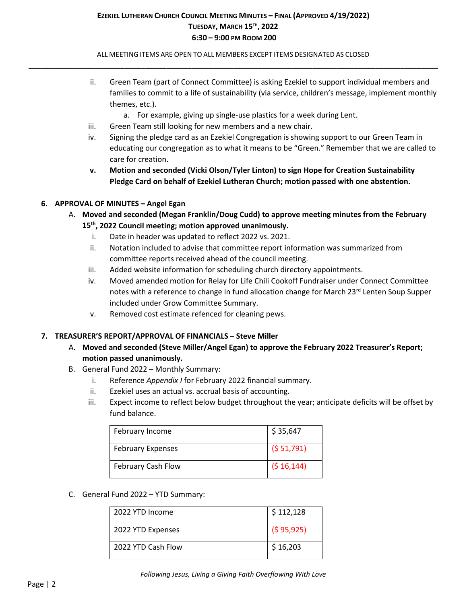ALL MEETING ITEMS ARE OPEN TO ALL MEMBERS EXCEPT ITEMS DESIGNATED AS CLOSED **\_\_\_\_\_\_\_\_\_\_\_\_\_\_\_\_\_\_\_\_\_\_\_\_\_\_\_\_\_\_\_\_\_\_\_\_\_\_\_\_\_\_\_\_\_\_\_\_\_\_\_\_\_\_\_\_\_\_\_\_\_\_\_\_\_\_\_\_\_\_\_\_\_\_\_\_\_\_\_\_\_\_\_\_\_\_\_\_\_\_\_\_\_\_\_\_\_\_**

- ii. Green Team (part of Connect Committee) is asking Ezekiel to support individual members and families to commit to a life of sustainability (via service, children's message, implement monthly themes, etc.).
	- a. For example, giving up single-use plastics for a week during Lent.
- iii. Green Team still looking for new members and a new chair.
- iv. Signing the pledge card as an Ezekiel Congregation is showing support to our Green Team in educating our congregation as to what it means to be "Green." Remember that we are called to care for creation.
- **v. Motion and seconded (Vicki Olson/Tyler Linton) to sign Hope for Creation Sustainability Pledge Card on behalf of Ezekiel Lutheran Church; motion passed with one abstention.**

## **6. APPROVAL OF MINUTES – Angel Egan**

- A. **Moved and seconded (Megan Franklin/Doug Cudd) to approve meeting minutes from the February 15th, 2022 Council meeting; motion approved unanimously.**
	- i. Date in header was updated to reflect 2022 vs. 2021.
	- ii. Notation included to advise that committee report information was summarized from committee reports received ahead of the council meeting.
	- iii. Added website information for scheduling church directory appointments.
	- iv. Moved amended motion for Relay for Life Chili Cookoff Fundraiser under Connect Committee notes with a reference to change in fund allocation change for March 23rd Lenten Soup Supper included under Grow Committee Summary.
	- v. Removed cost estimate refenced for cleaning pews.

### **7. TREASURER'S REPORT/APPROVAL OF FINANCIALS – Steve Miller**

- A. **Moved and seconded (Steve Miller/Angel Egan) to approve the February 2022 Treasurer's Report; motion passed unanimously.**
- B. General Fund 2022 Monthly Summary:
	- i. Reference *Appendix I* for February 2022 financial summary.
	- ii. Ezekiel uses an actual vs. accrual basis of accounting.
	- iii. Expect income to reflect below budget throughout the year; anticipate deficits will be offset by fund balance.

| February Income          | \$35,647   |
|--------------------------|------------|
| <b>February Expenses</b> | (551,791)  |
| February Cash Flow       | (516, 144) |

### C. General Fund 2022 – YTD Summary:

| 2022 YTD Income    | \$112,128     |
|--------------------|---------------|
| 2022 YTD Expenses  | $($ \$95,925) |
| 2022 YTD Cash Flow | \$16,203      |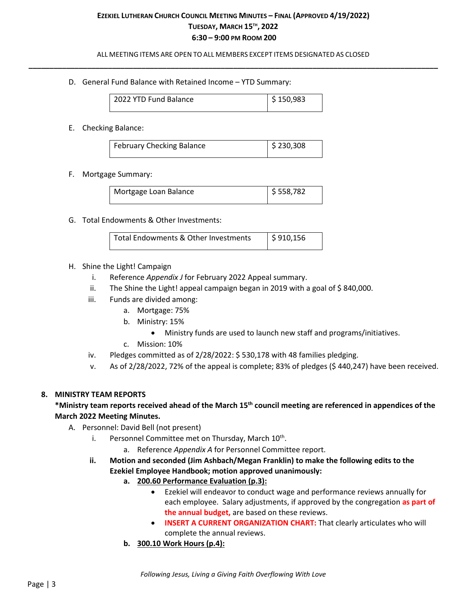ALL MEETING ITEMS ARE OPEN TO ALL MEMBERS EXCEPT ITEMS DESIGNATED AS CLOSED **\_\_\_\_\_\_\_\_\_\_\_\_\_\_\_\_\_\_\_\_\_\_\_\_\_\_\_\_\_\_\_\_\_\_\_\_\_\_\_\_\_\_\_\_\_\_\_\_\_\_\_\_\_\_\_\_\_\_\_\_\_\_\_\_\_\_\_\_\_\_\_\_\_\_\_\_\_\_\_\_\_\_\_\_\_\_\_\_\_\_\_\_\_\_\_\_\_\_**

D. General Fund Balance with Retained Income – YTD Summary:

| 2022 YTD Fund Balance | $\frac{1}{2}$ \$ 150,983 |
|-----------------------|--------------------------|
|                       |                          |

E. Checking Balance:

| <b>February Checking Balance</b> | $\frac{1}{2}$ \$ 230,308 |
|----------------------------------|--------------------------|

F. Mortgage Summary:

| Mortgage Loan Balance | $\frac{1}{2}$ \$ 558,782 |
|-----------------------|--------------------------|
|                       |                          |

G. Total Endowments & Other Investments:

| l Total Endowments & Other Investments | $\frac{1}{2}$ \$910,156 |  |
|----------------------------------------|-------------------------|--|
|----------------------------------------|-------------------------|--|

### H. Shine the Light! Campaign

- i. Reference *Appendix J* for February 2022 Appeal summary.
- ii. The Shine the Light! appeal campaign began in 2019 with a goal of \$840,000.
- iii. Funds are divided among:
	- a. Mortgage: 75%
	- b. Ministry: 15%
		- Ministry funds are used to launch new staff and programs/initiatives.
	- c. Mission: 10%
- iv. Pledges committed as of 2/28/2022: \$ 530,178 with 48 families pledging.
- v. As of 2/28/2022, 72% of the appeal is complete; 83% of pledges (\$ 440,247) have been received.

### **8. MINISTRY TEAM REPORTS**

## **\*Ministry team reports received ahead of the March 15th council meeting are referenced in appendices of the March 2022 Meeting Minutes.**

- A. Personnel: David Bell (not present)
	- i. Personnel Committee met on Thursday, March 10<sup>th</sup>.
		- a. Reference *Appendix A* for Personnel Committee report.
	- **ii. Motion and seconded (Jim Ashbach/Megan Franklin) to make the following edits to the Ezekiel Employee Handbook; motion approved unanimously:**
		- **a. 200.60 Performance Evaluation (p.3):**
			- Ezekiel will endeavor to conduct wage and performance reviews annually for each employee. Salary adjustments, if approved by the congregation **as part of the annual budget,** are based on these reviews.
			- **INSERT A CURRENT ORGANIZATION CHART:** That clearly articulates who will complete the annual reviews.
		- **b. 300.10 Work Hours (p.4):**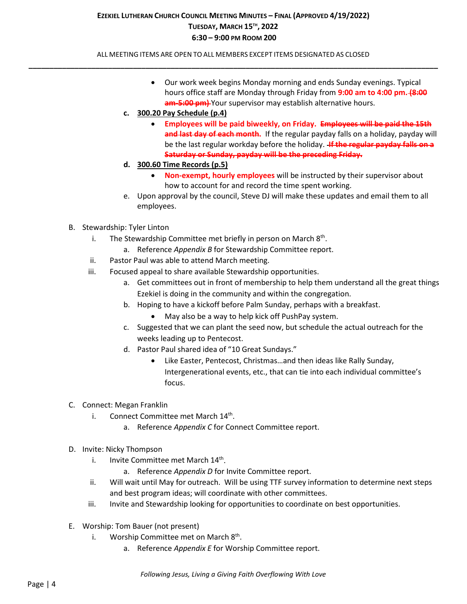ALL MEETING ITEMS ARE OPEN TO ALL MEMBERS EXCEPT ITEMS DESIGNATED AS CLOSED **\_\_\_\_\_\_\_\_\_\_\_\_\_\_\_\_\_\_\_\_\_\_\_\_\_\_\_\_\_\_\_\_\_\_\_\_\_\_\_\_\_\_\_\_\_\_\_\_\_\_\_\_\_\_\_\_\_\_\_\_\_\_\_\_\_\_\_\_\_\_\_\_\_\_\_\_\_\_\_\_\_\_\_\_\_\_\_\_\_\_\_\_\_\_\_\_\_\_**

- Our work week begins Monday morning and ends Sunday evenings. Typical hours office staff are Monday through Friday from **9:00 am to 4:00 pm. (8:00 am-5:00 pm)** Your supervisor may establish alternative hours.
- **c. 300.20 Pay Schedule (p.4)**
	- **Employees will be paid biweekly, on Friday. Employees will be paid the 15th**  and last day of each month. If the regular payday falls on a holiday, payday will be the last regular workday before the holiday. **If the regular payday falls on a Saturday or Sunday, payday will be the preceding Friday.**
- **d. 300.60 Time Records (p.5)**
	- **Non-exempt, hourly employees** will be instructed by their supervisor about how to account for and record the time spent working.
- e. Upon approval by the council, Steve DJ will make these updates and email them to all employees.
- B. Stewardship: Tyler Linton
	- i. The Stewardship Committee met briefly in person on March 8<sup>th</sup>.
		- a. Reference *Appendix B* for Stewardship Committee report.
	- ii. Pastor Paul was able to attend March meeting.
	- iii. Focused appeal to share available Stewardship opportunities.
		- a. Get committees out in front of membership to help them understand all the great things Ezekiel is doing in the community and within the congregation.
		- b. Hoping to have a kickoff before Palm Sunday, perhaps with a breakfast.
			- May also be a way to help kick off PushPay system.
		- c. Suggested that we can plant the seed now, but schedule the actual outreach for the weeks leading up to Pentecost.
		- d. Pastor Paul shared idea of "10 Great Sundays."
			- Like Easter, Pentecost, Christmas…and then ideas like Rally Sunday, Intergenerational events, etc., that can tie into each individual committee's focus.
- C. Connect: Megan Franklin
	- i. Connect Committee met March  $14<sup>th</sup>$ .
		- a. Reference *Appendix C* for Connect Committee report.
- D. Invite: Nicky Thompson
	- i. Invite Committee met March 14<sup>th</sup>.
		- a. Reference *Appendix D* for Invite Committee report.
	- ii. Will wait until May for outreach. Will be using TTF survey information to determine next steps and best program ideas; will coordinate with other committees.
	- iii. Invite and Stewardship looking for opportunities to coordinate on best opportunities.
- E. Worship: Tom Bauer (not present)
	- i. Worship Committee met on March  $8<sup>th</sup>$ .
		- a. Reference *Appendix E* for Worship Committee report.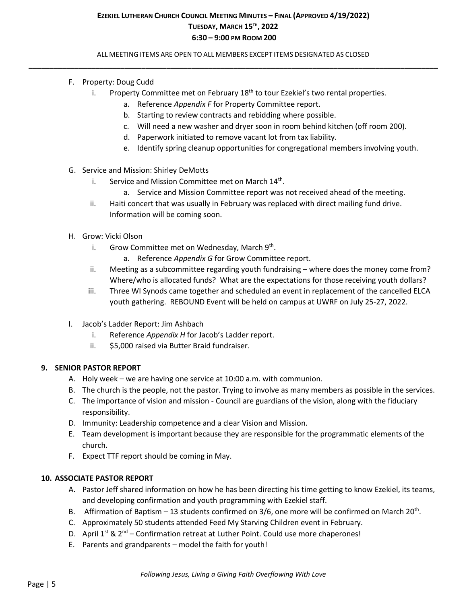ALL MEETING ITEMS ARE OPEN TO ALL MEMBERS EXCEPT ITEMS DESIGNATED AS CLOSED **\_\_\_\_\_\_\_\_\_\_\_\_\_\_\_\_\_\_\_\_\_\_\_\_\_\_\_\_\_\_\_\_\_\_\_\_\_\_\_\_\_\_\_\_\_\_\_\_\_\_\_\_\_\_\_\_\_\_\_\_\_\_\_\_\_\_\_\_\_\_\_\_\_\_\_\_\_\_\_\_\_\_\_\_\_\_\_\_\_\_\_\_\_\_\_\_\_\_**

- F. Property: Doug Cudd
	- i. Property Committee met on February  $18<sup>th</sup>$  to tour Ezekiel's two rental properties.
		- a. Reference *Appendix F* for Property Committee report.
		- b. Starting to review contracts and rebidding where possible.
		- c. Will need a new washer and dryer soon in room behind kitchen (off room 200).
		- d. Paperwork initiated to remove vacant lot from tax liability.
		- e. Identify spring cleanup opportunities for congregational members involving youth.
- G. Service and Mission: Shirley DeMotts
	- i. Service and Mission Committee met on March  $14<sup>th</sup>$ .
		- a. Service and Mission Committee report was not received ahead of the meeting.
	- ii. Haiti concert that was usually in February was replaced with direct mailing fund drive. Information will be coming soon.
- H. Grow: Vicki Olson
	- i. Grow Committee met on Wednesday, March  $9<sup>th</sup>$ .
		- a. Reference *Appendix G* for Grow Committee report.
	- ii. Meeting as a subcommittee regarding youth fundraising where does the money come from? Where/who is allocated funds? What are the expectations for those receiving youth dollars?
	- iii. Three WI Synods came together and scheduled an event in replacement of the cancelled ELCA youth gathering. REBOUND Event will be held on campus at UWRF on July 25-27, 2022.
- I. Jacob's Ladder Report: Jim Ashbach
	- i. Reference *Appendix H* for Jacob's Ladder report.
	- ii. \$5,000 raised via Butter Braid fundraiser.

### **9. SENIOR PASTOR REPORT**

- A. Holy week we are having one service at 10:00 a.m. with communion.
- B. The church is the people, not the pastor. Trying to involve as many members as possible in the services.
- C. The importance of vision and mission Council are guardians of the vision, along with the fiduciary responsibility.
- D. Immunity: Leadership competence and a clear Vision and Mission.
- E. Team development is important because they are responsible for the programmatic elements of the church.
- F. Expect TTF report should be coming in May.

### **10. ASSOCIATE PASTOR REPORT**

- A. Pastor Jeff shared information on how he has been directing his time getting to know Ezekiel, its teams, and developing confirmation and youth programming with Ezekiel staff.
- B. Affirmation of Baptism 13 students confirmed on  $3/6$ , one more will be confirmed on March 20<sup>th</sup>.
- C. Approximately 50 students attended Feed My Starving Children event in February.
- D. April  $1^{st}$  &  $2^{nd}$  Confirmation retreat at Luther Point. Could use more chaperones!
- E. Parents and grandparents model the faith for youth!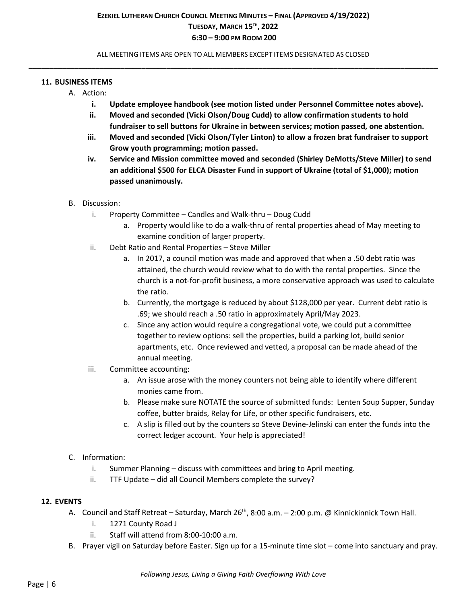ALL MEETING ITEMS ARE OPEN TO ALL MEMBERS EXCEPT ITEMS DESIGNATED AS CLOSED **\_\_\_\_\_\_\_\_\_\_\_\_\_\_\_\_\_\_\_\_\_\_\_\_\_\_\_\_\_\_\_\_\_\_\_\_\_\_\_\_\_\_\_\_\_\_\_\_\_\_\_\_\_\_\_\_\_\_\_\_\_\_\_\_\_\_\_\_\_\_\_\_\_\_\_\_\_\_\_\_\_\_\_\_\_\_\_\_\_\_\_\_\_\_\_\_\_\_**

### **11. BUSINESS ITEMS**

- A. Action:
	- **i. Update employee handbook (see motion listed under Personnel Committee notes above).**
	- **ii. Moved and seconded (Vicki Olson/Doug Cudd) to allow confirmation students to hold fundraiser to sell buttons for Ukraine in between services; motion passed, one abstention.**
	- **iii. Moved and seconded (Vicki Olson/Tyler Linton) to allow a frozen brat fundraiser to support Grow youth programming; motion passed.**
	- **iv. Service and Mission committee moved and seconded (Shirley DeMotts/Steve Miller) to send an additional \$500 for ELCA Disaster Fund in support of Ukraine (total of \$1,000); motion passed unanimously.**
- B. Discussion:
	- i. Property Committee Candles and Walk-thru Doug Cudd
		- a. Property would like to do a walk-thru of rental properties ahead of May meeting to examine condition of larger property.
	- ii. Debt Ratio and Rental Properties Steve Miller
		- a. In 2017, a council motion was made and approved that when a .50 debt ratio was attained, the church would review what to do with the rental properties. Since the church is a not-for-profit business, a more conservative approach was used to calculate the ratio.
		- b. Currently, the mortgage is reduced by about \$128,000 per year. Current debt ratio is .69; we should reach a .50 ratio in approximately April/May 2023.
		- c. Since any action would require a congregational vote, we could put a committee together to review options: sell the properties, build a parking lot, build senior apartments, etc. Once reviewed and vetted, a proposal can be made ahead of the annual meeting.
	- iii. Committee accounting:
		- a. An issue arose with the money counters not being able to identify where different monies came from.
		- b. Please make sure NOTATE the source of submitted funds: Lenten Soup Supper, Sunday coffee, butter braids, Relay for Life, or other specific fundraisers, etc.
		- c. A slip is filled out by the counters so Steve Devine-Jelinski can enter the funds into the correct ledger account. Your help is appreciated!

## C. Information:

- i. Summer Planning discuss with committees and bring to April meeting.
- ii. TTF Update did all Council Members complete the survey?

### **12. EVENTS**

- A. Council and Staff Retreat Saturday, March 26<sup>th</sup>, 8:00 a.m. 2:00 p.m. @ Kinnickinnick Town Hall.
	- i. 1271 County Road J
	- ii. Staff will attend from 8:00-10:00 a.m.
- B. Prayer vigil on Saturday before Easter. Sign up for a 15-minute time slot come into sanctuary and pray.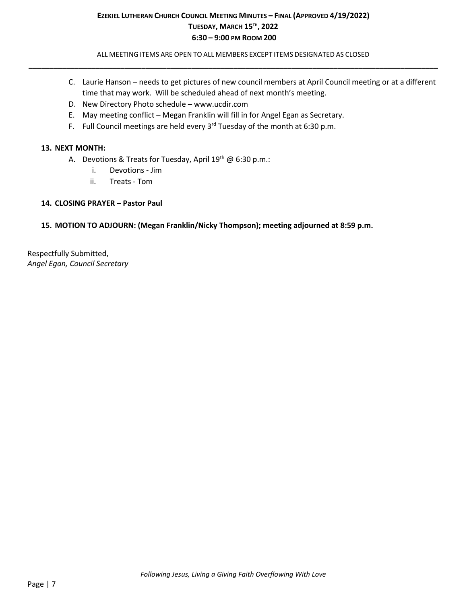ALL MEETING ITEMS ARE OPEN TO ALL MEMBERS EXCEPT ITEMS DESIGNATED AS CLOSED **\_\_\_\_\_\_\_\_\_\_\_\_\_\_\_\_\_\_\_\_\_\_\_\_\_\_\_\_\_\_\_\_\_\_\_\_\_\_\_\_\_\_\_\_\_\_\_\_\_\_\_\_\_\_\_\_\_\_\_\_\_\_\_\_\_\_\_\_\_\_\_\_\_\_\_\_\_\_\_\_\_\_\_\_\_\_\_\_\_\_\_\_\_\_\_\_\_\_**

- C. Laurie Hanson needs to get pictures of new council members at April Council meeting or at a different time that may work. Will be scheduled ahead of next month's meeting.
- D. New Directory Photo schedule www.ucdir.com
- E. May meeting conflict Megan Franklin will fill in for Angel Egan as Secretary.
- F. Full Council meetings are held every  $3<sup>rd</sup>$  Tuesday of the month at 6:30 p.m.

## **13. NEXT MONTH:**

- A. Devotions & Treats for Tuesday, April  $19^{th}$  @ 6:30 p.m.:
	- i. Devotions Jim
	- ii. Treats Tom

## **14. CLOSING PRAYER – Pastor Paul**

## **15. MOTION TO ADJOURN: (Megan Franklin/Nicky Thompson); meeting adjourned at 8:59 p.m.**

Respectfully Submitted, *Angel Egan, Council Secretary*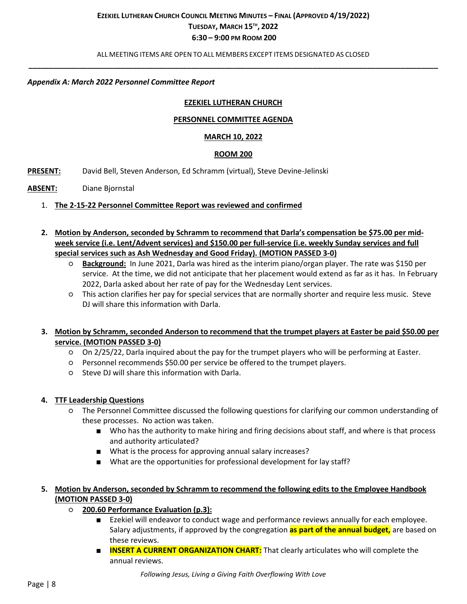ALL MEETING ITEMS ARE OPEN TO ALL MEMBERS EXCEPT ITEMS DESIGNATED AS CLOSED **\_\_\_\_\_\_\_\_\_\_\_\_\_\_\_\_\_\_\_\_\_\_\_\_\_\_\_\_\_\_\_\_\_\_\_\_\_\_\_\_\_\_\_\_\_\_\_\_\_\_\_\_\_\_\_\_\_\_\_\_\_\_\_\_\_\_\_\_\_\_\_\_\_\_\_\_\_\_\_\_\_\_\_\_\_\_\_\_\_\_\_\_\_\_\_\_\_\_**

### *Appendix A: March 2022 Personnel Committee Report*

### **EZEKIEL LUTHERAN CHURCH**

### **PERSONNEL COMMITTEE AGENDA**

### **MARCH 10, 2022**

#### **ROOM 200**

- **PRESENT:** David Bell, Steven Anderson, Ed Schramm (virtual), Steve Devine-Jelinski
- **ABSENT:** Diane Bjornstal
	- 1. **The 2-15-22 Personnel Committee Report was reviewed and confirmed**
	- **2. Motion by Anderson, seconded by Schramm to recommend that Darla's compensation be \$75.00 per midweek service (i.e. Lent/Advent services) and \$150.00 per full-service (i.e. weekly Sunday services and full special services such as Ash Wednesday and Good Friday). (MOTION PASSED 3-0)**
		- **Background:** In June 2021, Darla was hired as the interim piano/organ player. The rate was \$150 per service. At the time, we did not anticipate that her placement would extend as far as it has. In February 2022, Darla asked about her rate of pay for the Wednesday Lent services.
		- This action clarifies her pay for special services that are normally shorter and require less music. Steve DJ will share this information with Darla.
	- **3. Motion by Schramm, seconded Anderson to recommend that the trumpet players at Easter be paid \$50.00 per service. (MOTION PASSED 3-0)**
		- On 2/25/22, Darla inquired about the pay for the trumpet players who will be performing at Easter.
		- Personnel recommends \$50.00 per service be offered to the trumpet players.
		- Steve DJ will share this information with Darla.

### **4. TTF Leadership Questions**

- The Personnel Committee discussed the following questions for clarifying our common understanding of these processes. No action was taken.
	- Who has the authority to make hiring and firing decisions about staff, and where is that process and authority articulated?
	- What is the process for approving annual salary increases?
	- What are the opportunities for professional development for lay staff?

## **5. Motion by Anderson, seconded by Schramm to recommend the following edits to the Employee Handbook (MOTION PASSED 3-0)**

- **200.60 Performance Evaluation (p.3):**
	- Ezekiel will endeavor to conduct wage and performance reviews annually for each employee. Salary adjustments, if approved by the congregation **as part of the annual budget,** are based on these reviews.
	- **INSERT A CURRENT ORGANIZATION CHART:** That clearly articulates who will complete the annual reviews.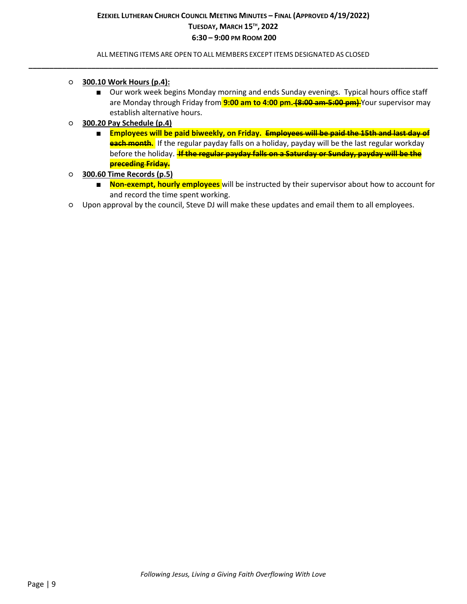ALL MEETING ITEMS ARE OPEN TO ALL MEMBERS EXCEPT ITEMS DESIGNATED AS CLOSED **\_\_\_\_\_\_\_\_\_\_\_\_\_\_\_\_\_\_\_\_\_\_\_\_\_\_\_\_\_\_\_\_\_\_\_\_\_\_\_\_\_\_\_\_\_\_\_\_\_\_\_\_\_\_\_\_\_\_\_\_\_\_\_\_\_\_\_\_\_\_\_\_\_\_\_\_\_\_\_\_\_\_\_\_\_\_\_\_\_\_\_\_\_\_\_\_\_\_**

- **300.10 Work Hours (p.4):** 
	- Our work week begins Monday morning and ends Sunday evenings. Typical hours office staff are Monday through Friday from **9:00 am to 4:00 pm. (8:00 am-5:00 pm)** Your supervisor may establish alternative hours.
- **300.20 Pay Schedule (p.4)**
	- **Employees will be paid biweekly, on Friday. Employees will be paid the 15th and last day of each month.** If the regular payday falls on a holiday, payday will be the last regular workday before the holiday. **If the regular payday falls on a Saturday or Sunday, payday will be the preceding Friday.**
- **300.60 Time Records (p.5)**
	- **Non-exempt, hourly employees** will be instructed by their supervisor about how to account for and record the time spent working.
- Upon approval by the council, Steve DJ will make these updates and email them to all employees.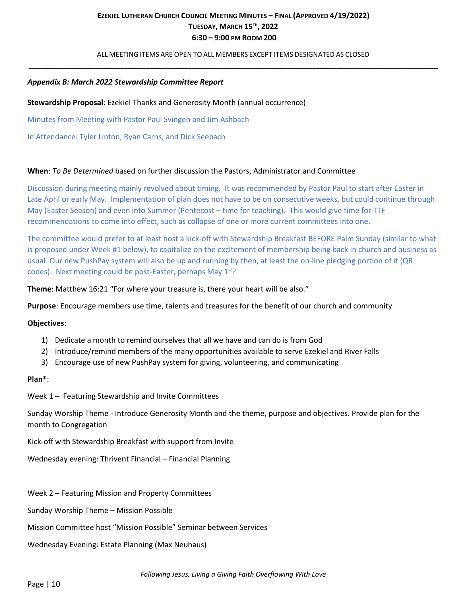ALL MEETING ITEMS ARE OPEN TO ALL MEMBERS EXCEPT ITEMS DESIGNATED AS CLOSED **\_\_\_\_\_\_\_\_\_\_\_\_\_\_\_\_\_\_\_\_\_\_\_\_\_\_\_\_\_\_\_\_\_\_\_\_\_\_\_\_\_\_\_\_\_\_\_\_\_\_\_\_\_\_\_\_\_\_\_\_\_\_\_\_\_\_\_\_\_\_\_\_\_\_\_\_\_\_\_\_\_\_\_\_\_\_\_\_\_\_\_\_\_\_\_\_\_\_**

### *Appendix B: March 2022 Stewardship Committee Report*

#### **Stewardship Proposal**: Ezekiel Thanks and Generosity Month (annual occurrence)

Minutes from Meeting with Pastor Paul Svingen and Jim Ashbach

In Attendance: Tyler Linton, Ryan Carns, and Dick Seebach

#### **When**: *To Be Determined* based on further discussion the Pastors, Administrator and Committee

Discussion during meeting mainly revolved about timing. It was recommended by Pastor Paul to start after Easter in Late April or early May. Implementation of plan does not have to be on consecutive weeks, but could continue through May (Easter Season) and even into Summer (Pentecost – time for teaching). This would give time for TTF recommendations to come into effect, such as collapse of one or more current committees into one.

The committee would prefer to at least host a kick-off with Stewardship Breakfast BEFORE Palm Sunday (similar to what is proposed under Week #1 below), to capitalize on the excitement of membership being back in church and business as usual. Our new PushPay system will also be up and running by then, at least the on-line pledging portion of it (QR codes). Next meeting could be post-Easter, perhaps May  $1<sup>st</sup>$ ?

**Theme**: Matthew 16:21 "For where your treasure is, there your heart will be also."

**Purpose**: Encourage members use time, talents and treasures for the benefit of our church and community

#### **Objectives**:

- 1) Dedicate a month to remind ourselves that all we have and can do is from God
- 2) Introduce/remind members of the many opportunities available to serve Ezekiel and River Falls
- 3) Encourage use of new PushPay system for giving, volunteering, and communicating

#### **Plan\***:

Week 1 – Featuring Stewardship and Invite Committees

Sunday Worship Theme - Introduce Generosity Month and the theme, purpose and objectives. Provide plan for the month to Congregation

Kick-off with Stewardship Breakfast with support from Invite

Wednesday evening: Thrivent Financial – Financial Planning

Week 2 – Featuring Mission and Property Committees

Sunday Worship Theme – Mission Possible

Mission Committee host "Mission Possible" Seminar between Services

Wednesday Evening: Estate Planning (Max Neuhaus)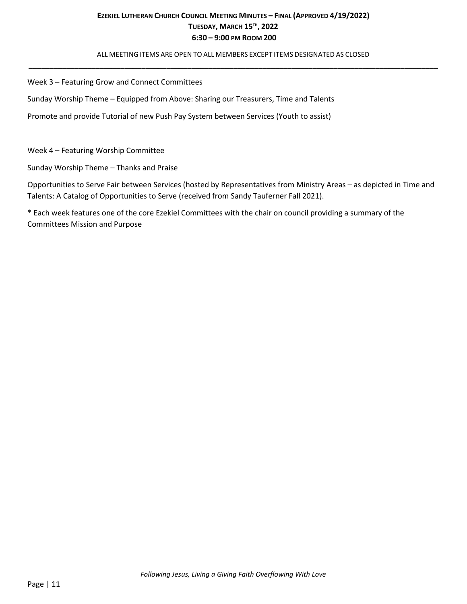ALL MEETING ITEMS ARE OPEN TO ALL MEMBERS EXCEPT ITEMS DESIGNATED AS CLOSED **\_\_\_\_\_\_\_\_\_\_\_\_\_\_\_\_\_\_\_\_\_\_\_\_\_\_\_\_\_\_\_\_\_\_\_\_\_\_\_\_\_\_\_\_\_\_\_\_\_\_\_\_\_\_\_\_\_\_\_\_\_\_\_\_\_\_\_\_\_\_\_\_\_\_\_\_\_\_\_\_\_\_\_\_\_\_\_\_\_\_\_\_\_\_\_\_\_\_**

Week 3 – Featuring Grow and Connect Committees

Sunday Worship Theme – Equipped from Above: Sharing our Treasurers, Time and Talents

Promote and provide Tutorial of new Push Pay System between Services (Youth to assist)

Week 4 – Featuring Worship Committee

Sunday Worship Theme – Thanks and Praise

Opportunities to Serve Fair between Services (hosted by Representatives from Ministry Areas – as depicted in Time and Talents: A Catalog of Opportunities to Serve (received from Sandy Tauferner Fall 2021).

\* Each week features one of the core Ezekiel Committees with the chair on council providing a summary of the Committees Mission and Purpose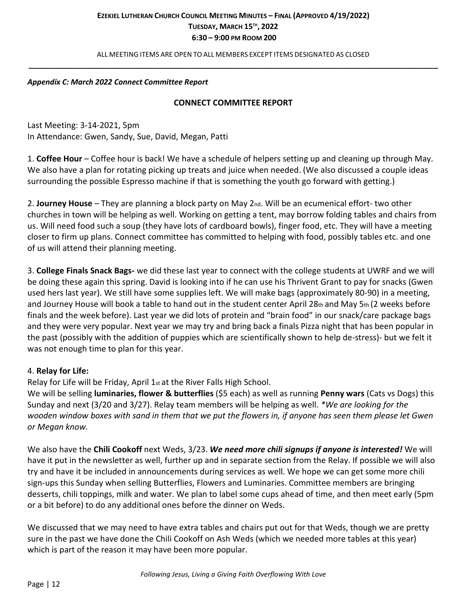ALL MEETING ITEMS ARE OPEN TO ALL MEMBERS EXCEPT ITEMS DESIGNATED AS CLOSED **\_\_\_\_\_\_\_\_\_\_\_\_\_\_\_\_\_\_\_\_\_\_\_\_\_\_\_\_\_\_\_\_\_\_\_\_\_\_\_\_\_\_\_\_\_\_\_\_\_\_\_\_\_\_\_\_\_\_\_\_\_\_\_\_\_\_\_\_\_\_\_\_\_\_\_\_\_\_\_\_\_\_\_\_\_\_\_\_\_\_\_\_\_\_\_\_\_\_**

### *Appendix C: March 2022 Connect Committee Report*

## **CONNECT COMMITTEE REPORT**

Last Meeting: 3-14-2021, 5pm In Attendance: Gwen, Sandy, Sue, David, Megan, Patti

1. **Coffee Hour** – Coffee hour is back! We have a schedule of helpers setting up and cleaning up through May. We also have a plan for rotating picking up treats and juice when needed. (We also discussed a couple ideas surrounding the possible Espresso machine if that is something the youth go forward with getting.)

2. **Journey House** – They are planning a block party on May 2nd. Will be an ecumenical effort- two other churches in town will be helping as well. Working on getting a tent, may borrow folding tables and chairs from us. Will need food such a soup (they have lots of cardboard bowls), finger food, etc. They will have a meeting closer to firm up plans. Connect committee has committed to helping with food, possibly tables etc. and one of us will attend their planning meeting.

3. **College Finals Snack Bags-** we did these last year to connect with the college students at UWRF and we will be doing these again this spring. David is looking into if he can use his Thrivent Grant to pay for snacks (Gwen used hers last year). We still have some supplies left. We will make bags (approximately 80-90) in a meeting, and Journey House will book a table to hand out in the student center April 28th and May 5th (2 weeks before finals and the week before). Last year we did lots of protein and "brain food" in our snack/care package bags and they were very popular. Next year we may try and bring back a finals Pizza night that has been popular in the past (possibly with the addition of puppies which are scientifically shown to help de-stress)- but we felt it was not enough time to plan for this year.

## 4. **Relay for Life:**

Relay for Life will be Friday, April 1st at the River Falls High School.

We will be selling **luminaries, flower & butterflies** (\$5 each) as well as running **Penny wars** (Cats vs Dogs) this Sunday and next (3/20 and 3/27). Relay team members will be helping as well. *\*We are looking for the wooden window boxes with sand in them that we put the flowers in, if anyone has seen them please let Gwen or Megan know.*

We also have the **Chili Cookoff** next Weds, 3/23. *We need more chili signups if anyone is interested!* We will have it put in the newsletter as well, further up and in separate section from the Relay. If possible we will also try and have it be included in announcements during services as well. We hope we can get some more chili sign-ups this Sunday when selling Butterflies, Flowers and Luminaries. Committee members are bringing desserts, chili toppings, milk and water. We plan to label some cups ahead of time, and then meet early (5pm or a bit before) to do any additional ones before the dinner on Weds.

We discussed that we may need to have extra tables and chairs put out for that Weds, though we are pretty sure in the past we have done the Chili Cookoff on Ash Weds (which we needed more tables at this year) which is part of the reason it may have been more popular.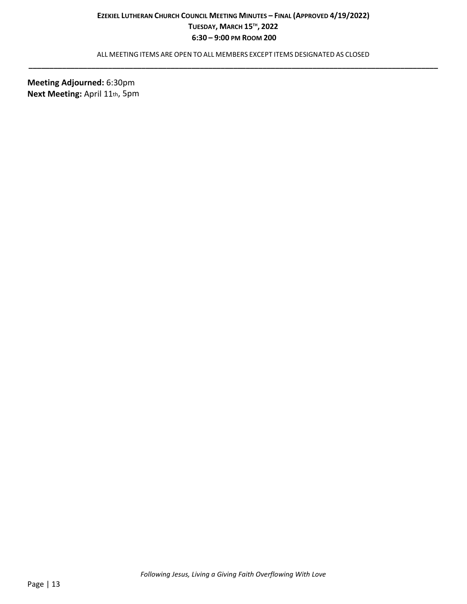ALL MEETING ITEMS ARE OPEN TO ALL MEMBERS EXCEPT ITEMS DESIGNATED AS CLOSED **\_\_\_\_\_\_\_\_\_\_\_\_\_\_\_\_\_\_\_\_\_\_\_\_\_\_\_\_\_\_\_\_\_\_\_\_\_\_\_\_\_\_\_\_\_\_\_\_\_\_\_\_\_\_\_\_\_\_\_\_\_\_\_\_\_\_\_\_\_\_\_\_\_\_\_\_\_\_\_\_\_\_\_\_\_\_\_\_\_\_\_\_\_\_\_\_\_\_**

**Meeting Adjourned:** 6:30pm **Next Meeting:** April 11th, 5pm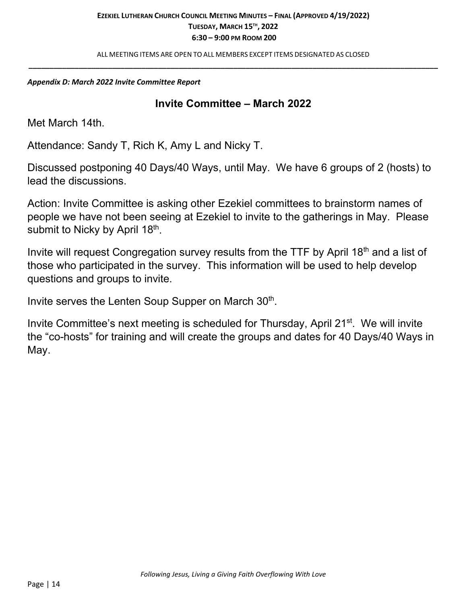ALL MEETING ITEMS ARE OPEN TO ALL MEMBERS EXCEPT ITEMS DESIGNATED AS CLOSED **\_\_\_\_\_\_\_\_\_\_\_\_\_\_\_\_\_\_\_\_\_\_\_\_\_\_\_\_\_\_\_\_\_\_\_\_\_\_\_\_\_\_\_\_\_\_\_\_\_\_\_\_\_\_\_\_\_\_\_\_\_\_\_\_\_\_\_\_\_\_\_\_\_\_\_\_\_\_\_\_\_\_\_\_\_\_\_\_\_\_\_\_\_\_\_\_\_\_**

## *Appendix D: March 2022 Invite Committee Report*

# **Invite Committee – March 2022**

Met March 14th.

Attendance: Sandy T, Rich K, Amy L and Nicky T.

Discussed postponing 40 Days/40 Ways, until May. We have 6 groups of 2 (hosts) to lead the discussions.

Action: Invite Committee is asking other Ezekiel committees to brainstorm names of people we have not been seeing at Ezekiel to invite to the gatherings in May. Please submit to Nicky by April 18th.

Invite will request Congregation survey results from the TTF by April 18<sup>th</sup> and a list of those who participated in the survey. This information will be used to help develop questions and groups to invite.

Invite serves the Lenten Soup Supper on March 30<sup>th</sup>.

Invite Committee's next meeting is scheduled for Thursday, April  $21<sup>st</sup>$ . We will invite the "co-hosts" for training and will create the groups and dates for 40 Days/40 Ways in May.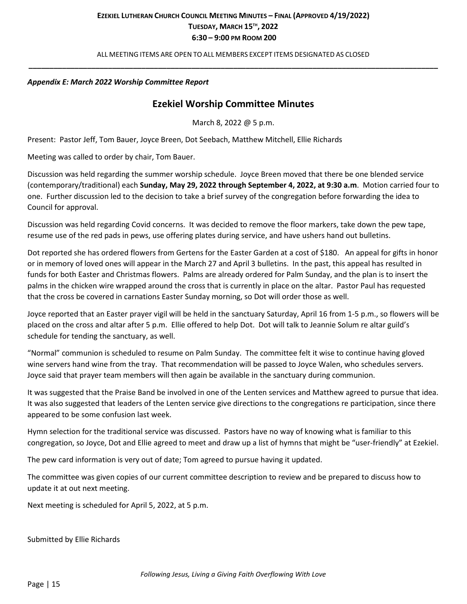ALL MEETING ITEMS ARE OPEN TO ALL MEMBERS EXCEPT ITEMS DESIGNATED AS CLOSED **\_\_\_\_\_\_\_\_\_\_\_\_\_\_\_\_\_\_\_\_\_\_\_\_\_\_\_\_\_\_\_\_\_\_\_\_\_\_\_\_\_\_\_\_\_\_\_\_\_\_\_\_\_\_\_\_\_\_\_\_\_\_\_\_\_\_\_\_\_\_\_\_\_\_\_\_\_\_\_\_\_\_\_\_\_\_\_\_\_\_\_\_\_\_\_\_\_\_**

### *Appendix E: March 2022 Worship Committee Report*

## **Ezekiel Worship Committee Minutes**

March 8, 2022 @ 5 p.m.

Present: Pastor Jeff, Tom Bauer, Joyce Breen, Dot Seebach, Matthew Mitchell, Ellie Richards

Meeting was called to order by chair, Tom Bauer.

Discussion was held regarding the summer worship schedule. Joyce Breen moved that there be one blended service (contemporary/traditional) each **Sunday, May 29, 2022 through September 4, 2022, at 9:30 a.m**. Motion carried four to one. Further discussion led to the decision to take a brief survey of the congregation before forwarding the idea to Council for approval.

Discussion was held regarding Covid concerns. It was decided to remove the floor markers, take down the pew tape, resume use of the red pads in pews, use offering plates during service, and have ushers hand out bulletins.

Dot reported she has ordered flowers from Gertens for the Easter Garden at a cost of \$180. An appeal for gifts in honor or in memory of loved ones will appear in the March 27 and April 3 bulletins. In the past, this appeal has resulted in funds for both Easter and Christmas flowers. Palms are already ordered for Palm Sunday, and the plan is to insert the palms in the chicken wire wrapped around the cross that is currently in place on the altar. Pastor Paul has requested that the cross be covered in carnations Easter Sunday morning, so Dot will order those as well.

Joyce reported that an Easter prayer vigil will be held in the sanctuary Saturday, April 16 from 1-5 p.m., so flowers will be placed on the cross and altar after 5 p.m. Ellie offered to help Dot. Dot will talk to Jeannie Solum re altar guild's schedule for tending the sanctuary, as well.

"Normal" communion is scheduled to resume on Palm Sunday. The committee felt it wise to continue having gloved wine servers hand wine from the tray. That recommendation will be passed to Joyce Walen, who schedules servers. Joyce said that prayer team members will then again be available in the sanctuary during communion.

It was suggested that the Praise Band be involved in one of the Lenten services and Matthew agreed to pursue that idea. It was also suggested that leaders of the Lenten service give directions to the congregations re participation, since there appeared to be some confusion last week.

Hymn selection for the traditional service was discussed. Pastors have no way of knowing what is familiar to this congregation, so Joyce, Dot and Ellie agreed to meet and draw up a list of hymns that might be "user-friendly" at Ezekiel.

The pew card information is very out of date; Tom agreed to pursue having it updated.

The committee was given copies of our current committee description to review and be prepared to discuss how to update it at out next meeting.

Next meeting is scheduled for April 5, 2022, at 5 p.m.

Submitted by Ellie Richards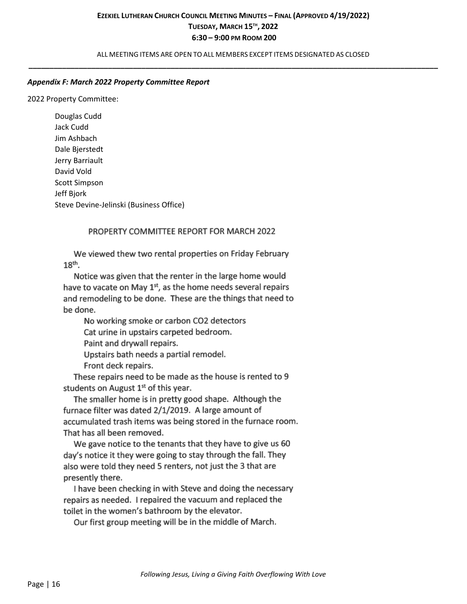ALL MEETING ITEMS ARE OPEN TO ALL MEMBERS EXCEPT ITEMS DESIGNATED AS CLOSED **\_\_\_\_\_\_\_\_\_\_\_\_\_\_\_\_\_\_\_\_\_\_\_\_\_\_\_\_\_\_\_\_\_\_\_\_\_\_\_\_\_\_\_\_\_\_\_\_\_\_\_\_\_\_\_\_\_\_\_\_\_\_\_\_\_\_\_\_\_\_\_\_\_\_\_\_\_\_\_\_\_\_\_\_\_\_\_\_\_\_\_\_\_\_\_\_\_\_**

### *Appendix F: March 2022 Property Committee Report*

2022 Property Committee:

Douglas Cudd Jack Cudd Jim Ashbach Dale Bjerstedt Jerry Barriault David Vold Scott Simpson Jeff Bjork Steve Devine-Jelinski (Business Office)

### PROPERTY COMMITTEE REPORT FOR MARCH 2022

We viewed thew two rental properties on Friday February 18<sup>th</sup>.

Notice was given that the renter in the large home would have to vacate on May 1<sup>st</sup>, as the home needs several repairs and remodeling to be done. These are the things that need to be done.

No working smoke or carbon CO2 detectors

Cat urine in upstairs carpeted bedroom.

Paint and drywall repairs.

Upstairs bath needs a partial remodel.

Front deck repairs.

These repairs need to be made as the house is rented to 9 students on August 1<sup>st</sup> of this year.

The smaller home is in pretty good shape. Although the furnace filter was dated 2/1/2019. A large amount of accumulated trash items was being stored in the furnace room. That has all been removed.

We gave notice to the tenants that they have to give us 60 day's notice it they were going to stay through the fall. They also were told they need 5 renters, not just the 3 that are presently there.

I have been checking in with Steve and doing the necessary repairs as needed. I repaired the vacuum and replaced the toilet in the women's bathroom by the elevator.

Our first group meeting will be in the middle of March.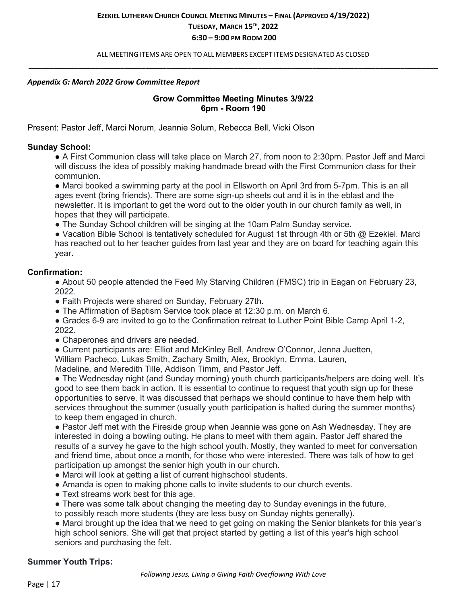ALL MEETING ITEMS ARE OPEN TO ALL MEMBERS EXCEPT ITEMS DESIGNATED AS CLOSED **\_\_\_\_\_\_\_\_\_\_\_\_\_\_\_\_\_\_\_\_\_\_\_\_\_\_\_\_\_\_\_\_\_\_\_\_\_\_\_\_\_\_\_\_\_\_\_\_\_\_\_\_\_\_\_\_\_\_\_\_\_\_\_\_\_\_\_\_\_\_\_\_\_\_\_\_\_\_\_\_\_\_\_\_\_\_\_\_\_\_\_\_\_\_\_\_\_\_**

#### *Appendix G: March 2022 Grow Committee Report*

## **Grow Committee Meeting Minutes 3/9/22 6pm - Room 190**

Present: Pastor Jeff, Marci Norum, Jeannie Solum, Rebecca Bell, Vicki Olson

### **Sunday School:**

● A First Communion class will take place on March 27, from noon to 2:30pm. Pastor Jeff and Marci will discuss the idea of possibly making handmade bread with the First Communion class for their communion.

● Marci booked a swimming party at the pool in Ellsworth on April 3rd from 5-7pm. This is an all ages event (bring friends). There are some sign-up sheets out and it is in the eblast and the newsletter. It is important to get the word out to the older youth in our church family as well, in hopes that they will participate.

• The Sunday School children will be singing at the 10am Palm Sunday service.

● Vacation Bible School is tentatively scheduled for August 1st through 4th or 5th @ Ezekiel. Marci has reached out to her teacher guides from last year and they are on board for teaching again this year.

### **Confirmation:**

• About 50 people attended the Feed My Starving Children (FMSC) trip in Eagan on February 23, 2022.

- Faith Projects were shared on Sunday, February 27th.
- The Affirmation of Baptism Service took place at 12:30 p.m. on March 6.
- Grades 6-9 are invited to go to the Confirmation retreat to Luther Point Bible Camp April 1-2, 2022.
- Chaperones and drivers are needed.
- Current participants are: Elliot and McKinley Bell, Andrew O'Connor, Jenna Juetten,

William Pacheco, Lukas Smith, Zachary Smith, Alex, Brooklyn, Emma, Lauren,

Madeline, and Meredith Tille, Addison Timm, and Pastor Jeff.

• The Wednesday night (and Sunday morning) youth church participants/helpers are doing well. It's good to see them back in action. It is essential to continue to request that youth sign up for these opportunities to serve. It was discussed that perhaps we should continue to have them help with services throughout the summer (usually youth participation is halted during the summer months) to keep them engaged in church.

● Pastor Jeff met with the Fireside group when Jeannie was gone on Ash Wednesday. They are interested in doing a bowling outing. He plans to meet with them again. Pastor Jeff shared the results of a survey he gave to the high school youth. Mostly, they wanted to meet for conversation and friend time, about once a month, for those who were interested. There was talk of how to get participation up amongst the senior high youth in our church.

- Marci will look at getting a list of current highschool students.
- Amanda is open to making phone calls to invite students to our church events.
- Text streams work best for this age.
- There was some talk about changing the meeting day to Sunday evenings in the future,
- to possibly reach more students (they are less busy on Sunday nights generally).

• Marci brought up the idea that we need to get going on making the Senior blankets for this year's high school seniors. She will get that project started by getting a list of this year's high school seniors and purchasing the felt.

## **Summer Youth Trips:**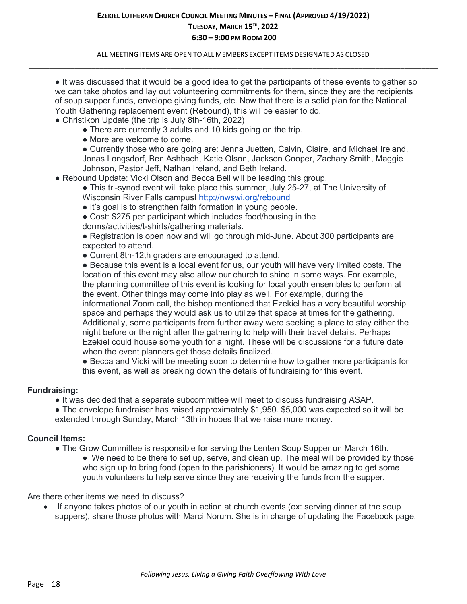ALL MEETING ITEMS ARE OPEN TO ALL MEMBERS EXCEPT ITEMS DESIGNATED AS CLOSED **\_\_\_\_\_\_\_\_\_\_\_\_\_\_\_\_\_\_\_\_\_\_\_\_\_\_\_\_\_\_\_\_\_\_\_\_\_\_\_\_\_\_\_\_\_\_\_\_\_\_\_\_\_\_\_\_\_\_\_\_\_\_\_\_\_\_\_\_\_\_\_\_\_\_\_\_\_\_\_\_\_\_\_\_\_\_\_\_\_\_\_\_\_\_\_\_\_\_**

● It was discussed that it would be a good idea to get the participants of these events to gather so we can take photos and lay out volunteering commitments for them, since they are the recipients of soup supper funds, envelope giving funds, etc. Now that there is a solid plan for the National Youth Gathering replacement event (Rebound), this will be easier to do.

- Christikon Update (the trip is July 8th-16th, 2022)
	- There are currently 3 adults and 10 kids going on the trip.
	- More are welcome to come.

● Currently those who are going are: Jenna Juetten, Calvin, Claire, and Michael Ireland, Jonas Longsdorf, Ben Ashbach, Katie Olson, Jackson Cooper, Zachary Smith, Maggie Johnson, Pastor Jeff, Nathan Ireland, and Beth Ireland.

● Rebound Update: Vicki Olson and Becca Bell will be leading this group.

• This tri-synod event will take place this summer, July 25-27, at The University of Wisconsin River Falls campus! http://nwswi.org/rebound

• It's goal is to strengthen faith formation in young people.

• Cost: \$275 per participant which includes food/housing in the

dorms/activities/t-shirts/gathering materials.

● Registration is open now and will go through mid-June. About 300 participants are expected to attend.

• Current 8th-12th graders are encouraged to attend.

• Because this event is a local event for us, our youth will have very limited costs. The location of this event may also allow our church to shine in some ways. For example, the planning committee of this event is looking for local youth ensembles to perform at the event. Other things may come into play as well. For example, during the informational Zoom call, the bishop mentioned that Ezekiel has a very beautiful worship space and perhaps they would ask us to utilize that space at times for the gathering. Additionally, some participants from further away were seeking a place to stay either the night before or the night after the gathering to help with their travel details. Perhaps Ezekiel could house some youth for a night. These will be discussions for a future date when the event planners get those details finalized.

● Becca and Vicki will be meeting soon to determine how to gather more participants for this event, as well as breaking down the details of fundraising for this event.

### **Fundraising:**

● It was decided that a separate subcommittee will meet to discuss fundraising ASAP.

• The envelope fundraiser has raised approximately \$1,950. \$5,000 was expected so it will be extended through Sunday, March 13th in hopes that we raise more money.

### **Council Items:**

- The Grow Committee is responsible for serving the Lenten Soup Supper on March 16th.
	- We need to be there to set up, serve, and clean up. The meal will be provided by those who sign up to bring food (open to the parishioners). It would be amazing to get some youth volunteers to help serve since they are receiving the funds from the supper.

Are there other items we need to discuss?

• If anyone takes photos of our youth in action at church events (ex: serving dinner at the soup suppers), share those photos with Marci Norum. She is in charge of updating the Facebook page.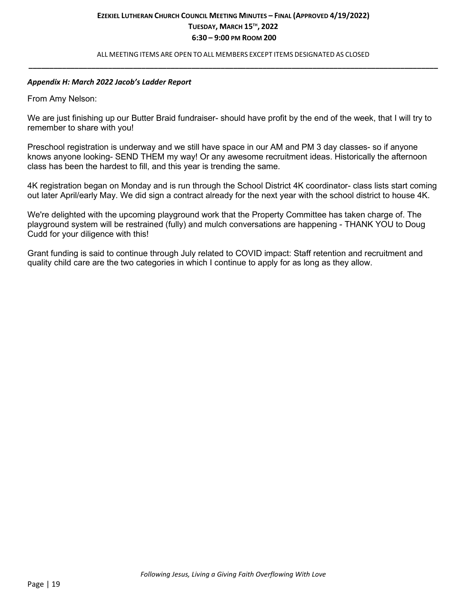ALL MEETING ITEMS ARE OPEN TO ALL MEMBERS EXCEPT ITEMS DESIGNATED AS CLOSED **\_\_\_\_\_\_\_\_\_\_\_\_\_\_\_\_\_\_\_\_\_\_\_\_\_\_\_\_\_\_\_\_\_\_\_\_\_\_\_\_\_\_\_\_\_\_\_\_\_\_\_\_\_\_\_\_\_\_\_\_\_\_\_\_\_\_\_\_\_\_\_\_\_\_\_\_\_\_\_\_\_\_\_\_\_\_\_\_\_\_\_\_\_\_\_\_\_\_**

#### *Appendix H: March 2022 Jacob's Ladder Report*

From Amy Nelson:

We are just finishing up our Butter Braid fundraiser- should have profit by the end of the week, that I will try to remember to share with you!

Preschool registration is underway and we still have space in our AM and PM 3 day classes- so if anyone knows anyone looking- SEND THEM my way! Or any awesome recruitment ideas. Historically the afternoon class has been the hardest to fill, and this year is trending the same.

4K registration began on Monday and is run through the School District 4K coordinator- class lists start coming out later April/early May. We did sign a contract already for the next year with the school district to house 4K.

We're delighted with the upcoming playground work that the Property Committee has taken charge of. The playground system will be restrained (fully) and mulch conversations are happening - THANK YOU to Doug Cudd for your diligence with this!

Grant funding is said to continue through July related to COVID impact: Staff retention and recruitment and quality child care are the two categories in which I continue to apply for as long as they allow.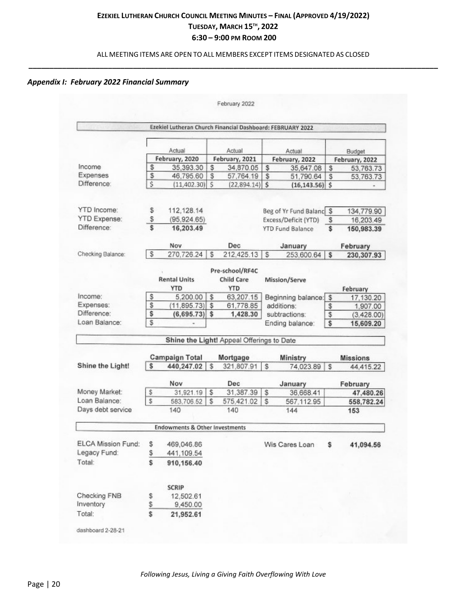## ALL MEETING ITEMS ARE OPEN TO ALL MEMBERS EXCEPT ITEMS DESIGNATED AS CLOSED **\_\_\_\_\_\_\_\_\_\_\_\_\_\_\_\_\_\_\_\_\_\_\_\_\_\_\_\_\_\_\_\_\_\_\_\_\_\_\_\_\_\_\_\_\_\_\_\_\_\_\_\_\_\_\_\_\_\_\_\_\_\_\_\_\_\_\_\_\_\_\_\_\_\_\_\_\_\_\_\_\_\_\_\_\_\_\_\_\_\_\_\_\_\_\_\_\_\_**

## *Appendix I: February 2022 Financial Summary*

|                                                                                                          |                 | Ezekiel Lutheran Church Financial Dashboard: FEBRUARY 2022 |    |                                             |                 |                         |         |                 |
|----------------------------------------------------------------------------------------------------------|-----------------|------------------------------------------------------------|----|---------------------------------------------|-----------------|-------------------------|---------|-----------------|
|                                                                                                          |                 |                                                            |    |                                             |                 |                         |         |                 |
|                                                                                                          |                 | Actual                                                     |    | Actual                                      |                 | Actual                  |         | Budget          |
|                                                                                                          | February, 2020  |                                                            |    | February, 2021                              |                 | February, 2022          |         | February, 2022  |
| Income                                                                                                   | \$<br>35,393.30 |                                                            |    | \$<br>34,870.05                             |                 | \$<br>35,647.08         |         | 53,763.73       |
| Expenses                                                                                                 | \$              | 46,795.60                                                  | \$ | 57,764.19                                   | \$              | 51,790.64               | \$<br>S | 53,763.73       |
| Difference:                                                                                              | \$              | $(11,402.30)$ \$                                           |    | $(22,894.14)$ \$                            |                 | $(16, 143.56)$ \$       |         |                 |
| <b>YTD</b> Income:                                                                                       |                 |                                                            |    |                                             |                 |                         |         |                 |
|                                                                                                          | \$              | 112, 128.14                                                |    |                                             |                 | Beg of Yr Fund Balanc S |         | 134,779.90      |
| <b>YTD Expense:</b><br>Difference:                                                                       | \$<br>\$        | (95.924.65)                                                |    |                                             |                 | Excess/Deficit (YTD)    | s       | 16,203.49       |
|                                                                                                          |                 | 16,203.49                                                  |    |                                             |                 | <b>YTD Fund Balance</b> | \$      | 150,983.39      |
|                                                                                                          |                 | Nov                                                        |    | Dec                                         |                 | January                 |         | February        |
| Checking Balance:                                                                                        | \$              | 270,726.24                                                 | s  | 212,425.13                                  | s               | 253,600.64              | \$      | 230,307.93      |
|                                                                                                          |                 | <b>Rental Units</b><br>YTD                                 |    | Pre-school/RF4C<br>Child Care<br><b>YTD</b> |                 | Mission/Serve           |         | February        |
| Income:                                                                                                  | \$              | 5,200.00                                                   | \$ | 63,207.15                                   |                 | Beginning balance:      | \$      | 17,130.20       |
| Expenses:                                                                                                | \$              | (11,895.73)                                                | \$ | 61,778.85                                   |                 | additions:              | \$      | 1,907.00        |
| Difference:                                                                                              | \$              | (6,695.73)                                                 | \$ | 1,428.30                                    |                 | subtractions:           | \$      | (3,428.00)      |
| Loan Balance:                                                                                            | \$              |                                                            |    |                                             | Ending balance: |                         | s       | 15,609.20       |
|                                                                                                          |                 |                                                            |    | Shine the Light! Appeal Offerings to Date   |                 |                         |         |                 |
|                                                                                                          |                 | <b>Campaign Total</b>                                      |    | Mortgage                                    |                 | <b>Ministry</b>         |         | <b>Missions</b> |
| Shine the Light!                                                                                         | \$              | 440,247.02                                                 | \$ | 321,807.91                                  | \$              | 74,023.89               | s       | 44,415.22       |
|                                                                                                          |                 | Nov                                                        |    | Dec                                         |                 | January                 |         | February        |
| Money Market:                                                                                            | s               | 31,921.19                                                  | s  | 31,387.39                                   | s               | 36,668.41               |         | 47,480.26       |
| Loan Balance:                                                                                            | Ŝ               | 583,706.52                                                 | Ŝ  | 575,421.02                                  | s               | 567.112.95              |         | 558,782.24      |
| Days debt service                                                                                        |                 | 140                                                        |    | 140                                         |                 | 144                     |         | 153             |
|                                                                                                          |                 |                                                            |    |                                             |                 |                         |         |                 |
|                                                                                                          |                 | <b>Endowments &amp; Other Investments</b>                  |    |                                             |                 |                         |         |                 |
|                                                                                                          | \$              |                                                            |    |                                             |                 | Wis Cares Loan          | \$      |                 |
|                                                                                                          |                 | 469,046.86                                                 |    |                                             |                 |                         |         |                 |
|                                                                                                          | $\frac{5}{5}$   | 441,109.54<br>910,156.40                                   |    |                                             |                 |                         |         |                 |
|                                                                                                          |                 |                                                            |    |                                             |                 |                         |         |                 |
|                                                                                                          |                 | <b>SCRIP</b>                                               |    |                                             |                 |                         |         |                 |
|                                                                                                          |                 | 12,502.61                                                  |    |                                             |                 |                         |         |                 |
|                                                                                                          | $\frac{5}{2}$   | 9,450.00                                                   |    |                                             |                 |                         |         |                 |
|                                                                                                          | \$              | 21,952.61                                                  |    |                                             |                 |                         |         |                 |
| ELCA Mission Fund:<br>Legacy Fund:<br>Total:<br>Checking FNB<br>Inventory<br>Total:<br>dashboard 2-28-21 |                 |                                                            |    |                                             |                 |                         |         | 41,094.56       |